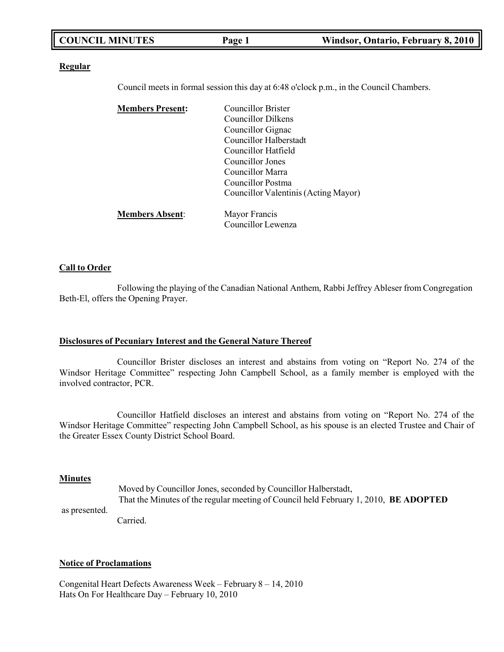| <b>COUNCIL MINUTES</b> | Page 1 | Windsor, Ontario, February 8, 2010 |
|------------------------|--------|------------------------------------|
|                        |        |                                    |

#### **Regular**

Council meets in formal session this day at 6:48 o'clock p.m., in the Council Chambers.

| <b>Members Present:</b> | <b>Councillor Brister</b>            |
|-------------------------|--------------------------------------|
|                         | Councillor Dilkens                   |
|                         | Councillor Gignac                    |
|                         | Councillor Halberstadt               |
|                         | Councillor Hatfield                  |
|                         | Councillor Jones                     |
|                         | Councillor Marra                     |
|                         | Councillor Postma                    |
|                         | Councillor Valentinis (Acting Mayor) |
| <b>Members Absent:</b>  | Mayor Francis                        |
|                         | Councillor Lewenza                   |

#### **Call to Order**

Following the playing of the Canadian National Anthem, Rabbi Jeffrey Ableser from Congregation Beth-El, offers the Opening Prayer.

#### **Disclosures of Pecuniary Interest and the General Nature Thereof**

Councillor Brister discloses an interest and abstains from voting on "Report No. 274 of the Windsor Heritage Committee" respecting John Campbell School, as a family member is employed with the involved contractor, PCR.

Councillor Hatfield discloses an interest and abstains from voting on "Report No. 274 of the Windsor Heritage Committee" respecting John Campbell School, as his spouse is an elected Trustee and Chair of the Greater Essex County District School Board.

#### **Minutes**

as presented.

Moved by Councillor Jones, seconded by Councillor Halberstadt,

That the Minutes of the regular meeting of Council held February 1, 2010, **BE ADOPTED**

Carried.

#### **Notice of Proclamations**

Congenital Heart Defects Awareness Week – February 8 – 14, 2010 Hats On For Healthcare Day – February 10, 2010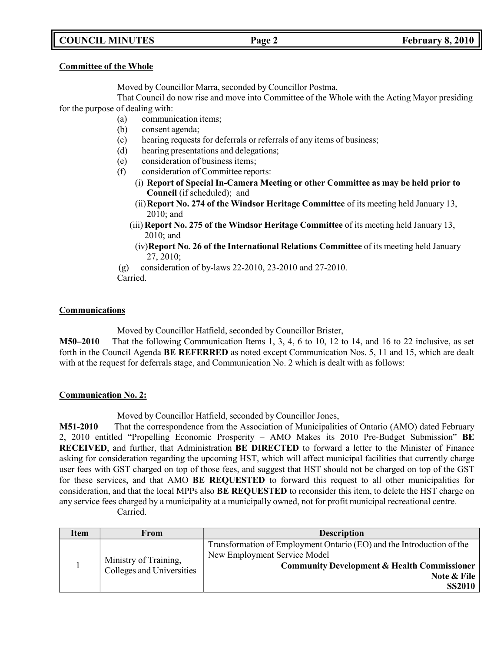# **COUNCIL MINUTES Page 2 February 8, 2010**

#### **Committee of the Whole**

Moved by Councillor Marra, seconded by Councillor Postma,

That Council do now rise and move into Committee of the Whole with the Acting Mayor presiding for the purpose of dealing with:

- (a) communication items;
- (b) consent agenda;
- (c) hearing requests for deferrals or referrals of any items of business;
- (d) hearing presentations and delegations;
- (e) consideration of business items;
- (f) consideration of Committee reports:
	- (i) **Report of Special In-Camera Meeting or other Committee as may be held prior to Council** (if scheduled); and
	- (ii)**Report No. 274 of the Windsor Heritage Committee** of its meeting held January 13, 2010; and
	- (iii) **Report No. 275 of the Windsor Heritage Committee** of its meeting held January 13, 2010; and
	- (iv)**Report No. 26 of the International Relations Committee** of its meeting held January 27, 2010;
- (g) consideration of by-laws 22-2010, 23-2010 and 27-2010.

Carried.

## **Communications**

Moved by Councillor Hatfield, seconded by Councillor Brister,

**M50–2010** That the following Communication Items 1, 3, 4, 6 to 10, 12 to 14, and 16 to 22 inclusive, as set forth in the Council Agenda **BE REFERRED** as noted except Communication Nos. 5, 11 and 15, which are dealt with at the request for deferrals stage, and Communication No. 2 which is dealt with as follows:

### **Communication No. 2:**

Moved by Councillor Hatfield, seconded by Councillor Jones,

**M51-2010** That the correspondence from the Association of Municipalities of Ontario (AMO) dated February 2, 2010 entitled "Propelling Economic Prosperity – AMO Makes its 2010 Pre-Budget Submission" **BE RECEIVED**, and further, that Administration **BE DIRECTED** to forward a letter to the Minister of Finance asking for consideration regarding the upcoming HST, which will affect municipal facilities that currently charge user fees with GST charged on top of those fees, and suggest that HST should not be charged on top of the GST for these services, and that AMO **BE REQUESTED** to forward this request to all other municipalities for consideration, and that the local MPPs also **BE REQUESTED** to reconsider this item, to delete the HST charge on any service fees charged by a municipality at a municipally owned, not for profit municipal recreational centre. Carried.

| <b>Item</b> | From                                               | <b>Description</b>                                                                                                                                                                              |
|-------------|----------------------------------------------------|-------------------------------------------------------------------------------------------------------------------------------------------------------------------------------------------------|
|             | Ministry of Training,<br>Colleges and Universities | Transformation of Employment Ontario (EO) and the Introduction of the<br>New Employment Service Model<br><b>Community Development &amp; Health Commissioner</b><br>Note & File<br><b>SS2010</b> |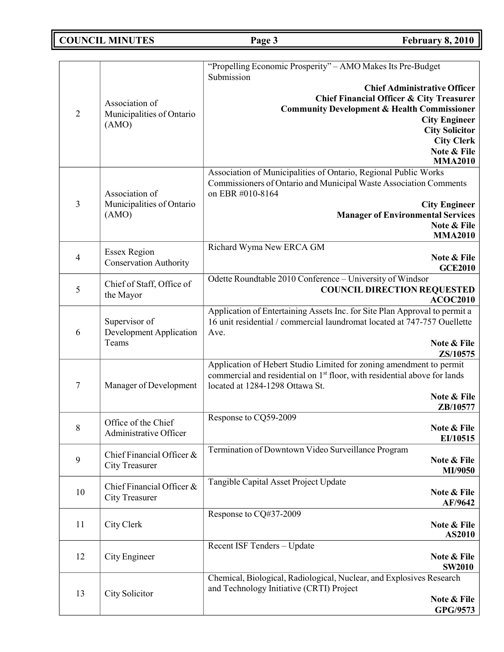# **COUNCIL MINUTES Page 3 February 8, 2010**

|                  |                                                          | "Propelling Economic Prosperity" - AMO Makes Its Pre-Budget                                                                                                                                                                                                                     |
|------------------|----------------------------------------------------------|---------------------------------------------------------------------------------------------------------------------------------------------------------------------------------------------------------------------------------------------------------------------------------|
| $\overline{2}$   | Association of<br>Municipalities of Ontario<br>(AMO)     | Submission<br><b>Chief Administrative Officer</b><br><b>Chief Financial Officer &amp; City Treasurer</b><br><b>Community Development &amp; Health Commissioner</b><br><b>City Engineer</b><br><b>City Solicitor</b><br><b>City Clerk</b><br>Note & File                         |
| 3                | Association of<br>Municipalities of Ontario<br>(AMO)     | <b>MMA2010</b><br>Association of Municipalities of Ontario, Regional Public Works<br>Commissioners of Ontario and Municipal Waste Association Comments<br>on EBR #010-8164<br><b>City Engineer</b><br><b>Manager of Environmental Services</b><br>Note & File<br><b>MMA2010</b> |
| 4                | <b>Essex Region</b><br><b>Conservation Authority</b>     | Richard Wyma New ERCA GM<br>Note & File<br><b>GCE2010</b>                                                                                                                                                                                                                       |
| 5                | Chief of Staff, Office of<br>the Mayor                   | Odette Roundtable 2010 Conference - University of Windsor<br><b>COUNCIL DIRECTION REQUESTED</b><br><b>ACOC2010</b>                                                                                                                                                              |
| 6                | Supervisor of<br><b>Development Application</b><br>Teams | Application of Entertaining Assets Inc. for Site Plan Approval to permit a<br>16 unit residential / commercial laundromat located at 747-757 Ouellette<br>Ave.<br>Note & File<br>ZS/10575                                                                                       |
| 7                | Manager of Development                                   | Application of Hebert Studio Limited for zoning amendment to permit<br>commercial and residential on 1 <sup>st</sup> floor, with residential above for lands<br>located at 1284-1298 Ottawa St.<br>Note & File<br>ZB/10577                                                      |
| 8                | Office of the Chief<br>Administrative Officer            | Response to CQ59-2009<br>Note & File<br>EI/10515                                                                                                                                                                                                                                |
| $\boldsymbol{9}$ | Chief Financial Officer &<br><b>City Treasurer</b>       | Termination of Downtown Video Surveillance Program<br>Note & File<br>MI/9050                                                                                                                                                                                                    |
| 10               | Chief Financial Officer &<br><b>City Treasurer</b>       | Tangible Capital Asset Project Update<br>Note & File<br>AF/9642                                                                                                                                                                                                                 |
| 11               | City Clerk                                               | Response to CQ#37-2009<br>Note & File<br>AS2010                                                                                                                                                                                                                                 |
| 12               | City Engineer                                            | Recent ISF Tenders - Update<br>Note & File<br><b>SW2010</b>                                                                                                                                                                                                                     |
| 13               | City Solicitor                                           | Chemical, Biological, Radiological, Nuclear, and Explosives Research<br>and Technology Initiative (CRTI) Project<br>Note & File<br>GPG/9573                                                                                                                                     |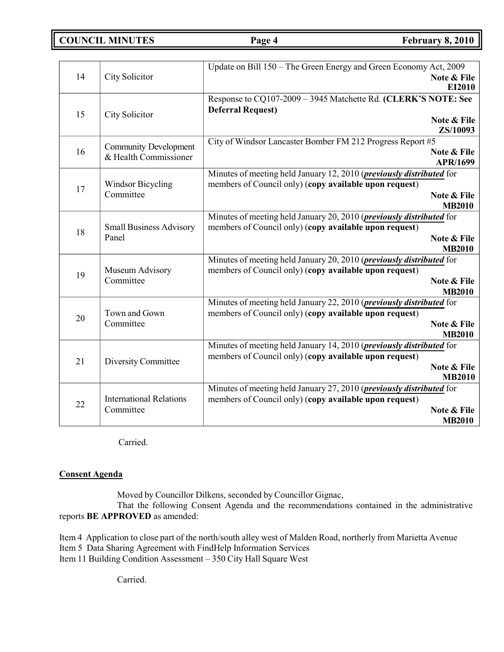**COUNCIL MINUTES Page 4 February 8, 2010**

|    |                                             | Update on Bill 150 - The Green Energy and Green Economy Act, 2009                                                                      |
|----|---------------------------------------------|----------------------------------------------------------------------------------------------------------------------------------------|
| 14 | City Solicitor                              | Note & File<br>EI2010                                                                                                                  |
|    |                                             | Response to CQ107-2009 - 3945 Matchette Rd. (CLERK'S NOTE: See                                                                         |
| 15 |                                             | <b>Deferral Request)</b>                                                                                                               |
|    | City Solicitor                              | Note & File                                                                                                                            |
|    |                                             | ZS/10093                                                                                                                               |
|    | <b>Community Development</b>                | City of Windsor Lancaster Bomber FM 212 Progress Report #5                                                                             |
| 16 | & Health Commissioner                       | Note & File<br><b>APR/1699</b>                                                                                                         |
|    |                                             | Minutes of meeting held January 12, 2010 (previously distributed for                                                                   |
|    | <b>Windsor Bicycling</b>                    | members of Council only) (copy available upon request)                                                                                 |
| 17 | Committee                                   | Note & File                                                                                                                            |
|    |                                             | <b>MB2010</b>                                                                                                                          |
|    |                                             | Minutes of meeting held January 20, 2010 ( <i>previously distributed</i> for                                                           |
| 18 | <b>Small Business Advisory</b>              | members of Council only) (copy available upon request)                                                                                 |
|    | Panel                                       | Note & File                                                                                                                            |
|    |                                             | <b>MB2010</b>                                                                                                                          |
|    | Museum Advisory<br>Committee                | Minutes of meeting held January 20, 2010 ( <i>previously distributed</i> for<br>members of Council only) (copy available upon request) |
| 19 |                                             | Note & File                                                                                                                            |
|    |                                             | <b>MB2010</b>                                                                                                                          |
|    |                                             | Minutes of meeting held January 22, 2010 ( <i>previously distributed</i> for                                                           |
| 20 | Town and Gown                               | members of Council only) (copy available upon request)                                                                                 |
|    | Committee                                   | Note & File                                                                                                                            |
|    |                                             | <b>MB2010</b>                                                                                                                          |
|    |                                             | Minutes of meeting held January 14, 2010 ( <i>previously distributed</i> for                                                           |
| 21 | Diversity Committee                         | members of Council only) (copy available upon request)<br>Note & File                                                                  |
|    |                                             | <b>MB2010</b>                                                                                                                          |
|    |                                             | Minutes of meeting held January 27, 2010 (previously distributed for                                                                   |
|    | <b>International Relations</b><br>Committee | members of Council only) (copy available upon request)                                                                                 |
| 22 |                                             | Note & File                                                                                                                            |
|    |                                             | <b>MB2010</b>                                                                                                                          |

Carried.

### **Consent Agenda**

Moved by Councillor Dilkens, seconded by Councillor Gignac,

That the following Consent Agenda and the recommendations contained in the administrative reports **BE APPROVED** as amended:

Item 4 Application to close part of the north/south alley west of Malden Road, northerly from Marietta Avenue Item 5 Data Sharing Agreement with FindHelp Information Services Item 11 Building Condition Assessment – 350 City Hall Square West

Carried.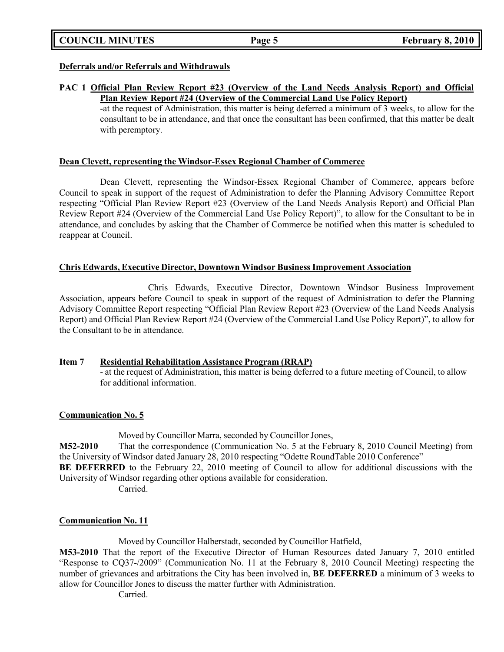|  | <b>COUNCIL MINUTES</b> |
|--|------------------------|
|--|------------------------|

#### **Deferrals and/or Referrals and Withdrawals**

### **PAC 1 Official Plan Review Report #23 (Overview of the Land Needs Analysis Report) and Official Plan Review Report #24 (Overview of the Commercial Land Use Policy Report)**

-at the request of Administration, this matter is being deferred a minimum of 3 weeks, to allow for the consultant to be in attendance, and that once the consultant has been confirmed, that this matter be dealt with peremptory.

#### **Dean Clevett, representing the Windsor-Essex Regional Chamber of Commerce**

Dean Clevett, representing the Windsor-Essex Regional Chamber of Commerce, appears before Council to speak in support of the request of Administration to defer the Planning Advisory Committee Report respecting "Official Plan Review Report #23 (Overview of the Land Needs Analysis Report) and Official Plan Review Report #24 (Overview of the Commercial Land Use Policy Report)", to allow for the Consultant to be in attendance, and concludes by asking that the Chamber of Commerce be notified when this matter is scheduled to reappear at Council.

#### **Chris Edwards, Executive Director, Downtown Windsor Business Improvement Association**

Chris Edwards, Executive Director, Downtown Windsor Business Improvement Association, appears before Council to speak in support of the request of Administration to defer the Planning Advisory Committee Report respecting "Official Plan Review Report #23 (Overview of the Land Needs Analysis Report) and Official Plan Review Report #24 (Overview of the Commercial Land Use Policy Report)", to allow for the Consultant to be in attendance.

### **Item 7 Residential Rehabilitation Assistance Program (RRAP)**

- at the request of Administration, this matter is being deferred to a future meeting of Council, to allow for additional information.

### **Communication No. 5**

Moved by Councillor Marra, seconded by Councillor Jones,

**M52-2010** That the correspondence (Communication No. 5 at the February 8, 2010 Council Meeting) from the University of Windsor dated January 28, 2010 respecting "Odette RoundTable 2010 Conference"

**BE DEFERRED** to the February 22, 2010 meeting of Council to allow for additional discussions with the University of Windsor regarding other options available for consideration.

Carried.

### **Communication No. 11**

Moved by Councillor Halberstadt, seconded by Councillor Hatfield,

**M53-2010** That the report of the Executive Director of Human Resources dated January 7, 2010 entitled "Response to CQ37-/2009" (Communication No. 11 at the February 8, 2010 Council Meeting) respecting the number of grievances and arbitrations the City has been involved in, **BE DEFERRED** a minimum of 3 weeks to allow for Councillor Jones to discuss the matter further with Administration.

Carried.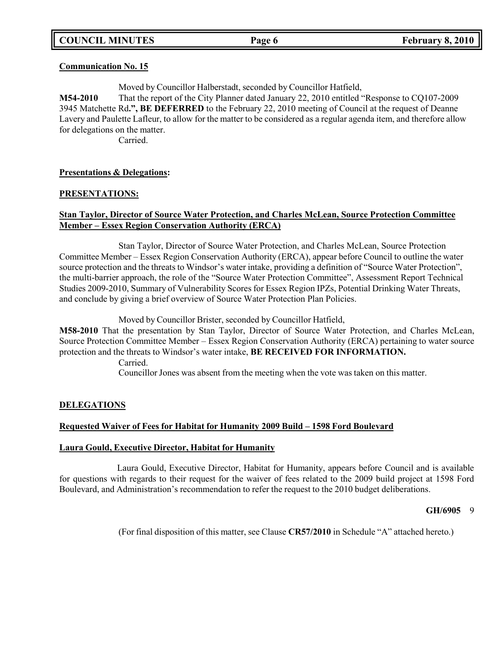#### **Communication No. 15**

Moved by Councillor Halberstadt, seconded by Councillor Hatfield,

**M54-2010** That the report of the City Planner dated January 22, 2010 entitled "Response to CQ107-2009 3945 Matchette Rd**.", BE DEFERRED** to the February 22, 2010 meeting of Council at the request of Deanne Lavery and Paulette Lafleur, to allow for the matter to be considered as a regular agenda item, and therefore allow for delegations on the matter.

Carried.

### **Presentations & Delegations:**

#### **PRESENTATIONS:**

### **Stan Taylor, Director of Source Water Protection, and Charles McLean, Source Protection Committee Member – Essex Region Conservation Authority (ERCA)**

Stan Taylor, Director of Source Water Protection, and Charles McLean, Source Protection Committee Member – Essex Region Conservation Authority (ERCA), appear before Council to outline the water source protection and the threats to Windsor's water intake, providing a definition of "Source Water Protection", the multi-barrier approach, the role of the "Source Water Protection Committee", Assessment Report Technical Studies 2009-2010, Summary of Vulnerability Scores for Essex Region IPZs, Potential Drinking Water Threats, and conclude by giving a brief overview of Source Water Protection Plan Policies.

Moved by Councillor Brister, seconded by Councillor Hatfield,

**M58-2010** That the presentation by Stan Taylor, Director of Source Water Protection, and Charles McLean, Source Protection Committee Member – Essex Region Conservation Authority (ERCA) pertaining to water source protection and the threats to Windsor's water intake, **BE RECEIVED FOR INFORMATION.**

Carried.

Councillor Jones was absent from the meeting when the vote was taken on this matter.

### **DELEGATIONS**

### **Requested Waiver of Fees for Habitat for Humanity 2009 Build – 1598 Ford Boulevard**

#### **Laura Gould, Executive Director, Habitat for Humanity**

Laura Gould, Executive Director, Habitat for Humanity, appears before Council and is available for questions with regards to their request for the waiver of fees related to the 2009 build project at 1598 Ford Boulevard, and Administration's recommendation to refer the request to the 2010 budget deliberations.

#### **GH/6905** 9

(For final disposition of this matter, see Clause **CR57/2010** in Schedule "A" attached hereto.)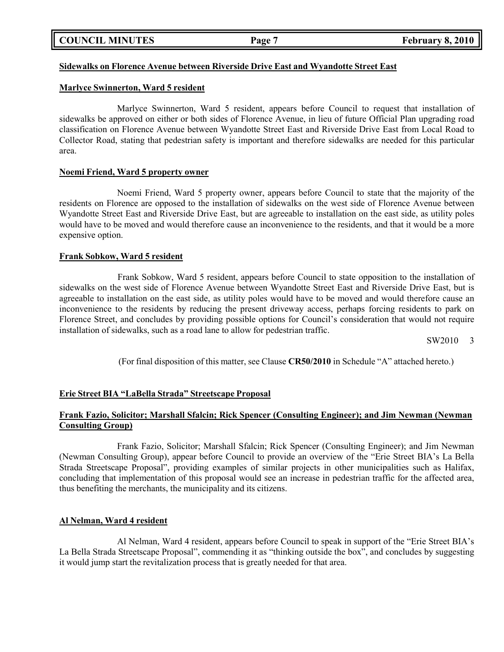|  | <b>COUNCIL MINUTES</b> |
|--|------------------------|
|--|------------------------|

## **Sidewalks on Florence Avenue between Riverside Drive East and Wyandotte Street East**

#### **Marlyce Swinnerton, Ward 5 resident**

Marlyce Swinnerton, Ward 5 resident, appears before Council to request that installation of sidewalks be approved on either or both sides of Florence Avenue, in lieu of future Official Plan upgrading road classification on Florence Avenue between Wyandotte Street East and Riverside Drive East from Local Road to Collector Road, stating that pedestrian safety is important and therefore sidewalks are needed for this particular area.

#### **Noemi Friend, Ward 5 property owner**

Noemi Friend, Ward 5 property owner, appears before Council to state that the majority of the residents on Florence are opposed to the installation of sidewalks on the west side of Florence Avenue between Wyandotte Street East and Riverside Drive East, but are agreeable to installation on the east side, as utility poles would have to be moved and would therefore cause an inconvenience to the residents, and that it would be a more expensive option.

#### **Frank Sobkow, Ward 5 resident**

Frank Sobkow, Ward 5 resident, appears before Council to state opposition to the installation of sidewalks on the west side of Florence Avenue between Wyandotte Street East and Riverside Drive East, but is agreeable to installation on the east side, as utility poles would have to be moved and would therefore cause an inconvenience to the residents by reducing the present driveway access, perhaps forcing residents to park on Florence Street, and concludes by providing possible options for Council's consideration that would not require installation of sidewalks, such as a road lane to allow for pedestrian traffic.

SW2010 3

(For final disposition of this matter, see Clause **CR50/2010** in Schedule "A" attached hereto.)

### **Erie Street BIA "LaBella Strada" Streetscape Proposal**

### **Frank Fazio, Solicitor; Marshall Sfalcin; Rick Spencer (Consulting Engineer); and Jim Newman (Newman Consulting Group)**

Frank Fazio, Solicitor; Marshall Sfalcin; Rick Spencer (Consulting Engineer); and Jim Newman (Newman Consulting Group), appear before Council to provide an overview of the "Erie Street BIA's La Bella Strada Streetscape Proposal", providing examples of similar projects in other municipalities such as Halifax, concluding that implementation of this proposal would see an increase in pedestrian traffic for the affected area, thus benefiting the merchants, the municipality and its citizens.

#### **Al Nelman, Ward 4 resident**

Al Nelman, Ward 4 resident, appears before Council to speak in support of the "Erie Street BIA's La Bella Strada Streetscape Proposal", commending it as "thinking outside the box", and concludes by suggesting it would jump start the revitalization process that is greatly needed for that area.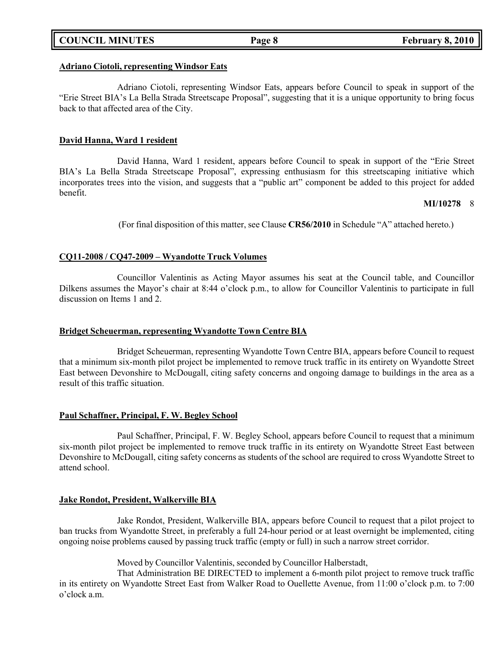### **COUNCIL MINUTES Page 8 February 8, 2010**

# **Adriano Ciotoli, representing Windsor Eats**

Adriano Ciotoli, representing Windsor Eats, appears before Council to speak in support of the "Erie Street BIA's La Bella Strada Streetscape Proposal", suggesting that it is a unique opportunity to bring focus back to that affected area of the City.

# **David Hanna, Ward 1 resident**

David Hanna, Ward 1 resident, appears before Council to speak in support of the "Erie Street BIA's La Bella Strada Streetscape Proposal", expressing enthusiasm for this streetscaping initiative which incorporates trees into the vision, and suggests that a "public art" component be added to this project for added benefit.

# **MI/10278** 8

(For final disposition of this matter, see Clause **CR56/2010** in Schedule "A" attached hereto.)

# **CQ11-2008 / CQ47-2009 – Wyandotte Truck Volumes**

Councillor Valentinis as Acting Mayor assumes his seat at the Council table, and Councillor Dilkens assumes the Mayor's chair at 8:44 o'clock p.m., to allow for Councillor Valentinis to participate in full discussion on Items 1 and 2.

# **Bridget Scheuerman, representing Wyandotte Town Centre BIA**

Bridget Scheuerman, representing Wyandotte Town Centre BIA, appears before Council to request that a minimum six-month pilot project be implemented to remove truck traffic in its entirety on Wyandotte Street East between Devonshire to McDougall, citing safety concerns and ongoing damage to buildings in the area as a result of this traffic situation.

# **Paul Schaffner, Principal, F. W. Begley School**

Paul Schaffner, Principal, F. W. Begley School, appears before Council to request that a minimum six-month pilot project be implemented to remove truck traffic in its entirety on Wyandotte Street East between Devonshire to McDougall, citing safety concerns as students of the school are required to cross Wyandotte Street to attend school.

# **Jake Rondot, President, Walkerville BIA**

Jake Rondot, President, Walkerville BIA, appears before Council to request that a pilot project to ban trucks from Wyandotte Street, in preferably a full 24-hour period or at least overnight be implemented, citing ongoing noise problems caused by passing truck traffic (empty or full) in such a narrow street corridor.

Moved by Councillor Valentinis, seconded by Councillor Halberstadt,

That Administration BE DIRECTED to implement a 6-month pilot project to remove truck traffic in its entirety on Wyandotte Street East from Walker Road to Ouellette Avenue, from 11:00 o'clock p.m. to 7:00 o'clock a.m.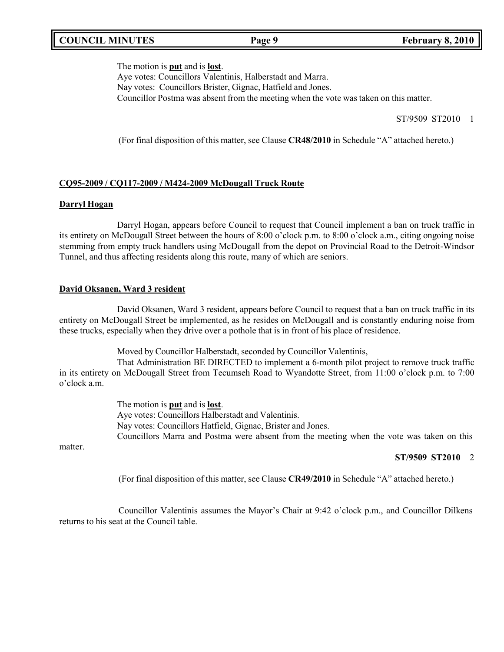## **COUNCIL MINUTES Page 9 February 8, 2010**

#### The motion is **put** and is **lost**.

Aye votes: Councillors Valentinis, Halberstadt and Marra. Nay votes: Councillors Brister, Gignac, Hatfield and Jones. Councillor Postma was absent from the meeting when the vote was taken on this matter.

ST/9509 ST2010 1

(For final disposition of this matter, see Clause **CR48/2010** in Schedule "A" attached hereto.)

### **CQ95-2009 / CQ117-2009 / M424-2009 McDougall Truck Route**

#### **Darryl Hogan**

Darryl Hogan, appears before Council to request that Council implement a ban on truck traffic in its entirety on McDougall Street between the hours of 8:00 o'clock p.m. to 8:00 o'clock a.m., citing ongoing noise stemming from empty truck handlers using McDougall from the depot on Provincial Road to the Detroit-Windsor Tunnel, and thus affecting residents along this route, many of which are seniors.

### **David Oksanen, Ward 3 resident**

David Oksanen, Ward 3 resident, appears before Council to request that a ban on truck traffic in its entirety on McDougall Street be implemented, as he resides on McDougall and is constantly enduring noise from these trucks, especially when they drive over a pothole that is in front of his place of residence.

Moved by Councillor Halberstadt, seconded by Councillor Valentinis,

That Administration BE DIRECTED to implement a 6-month pilot project to remove truck traffic in its entirety on McDougall Street from Tecumseh Road to Wyandotte Street, from 11:00 o'clock p.m. to 7:00 o'clock a.m.

> The motion is **put** and is **lost**. Aye votes: Councillors Halberstadt and Valentinis. Nay votes: Councillors Hatfield, Gignac, Brister and Jones. Councillors Marra and Postma were absent from the meeting when the vote was taken on this

matter.

### **ST/9509 ST2010** 2

(For final disposition of this matter, see Clause **CR49/2010** in Schedule "A" attached hereto.)

Councillor Valentinis assumes the Mayor's Chair at 9:42 o'clock p.m., and Councillor Dilkens returns to his seat at the Council table.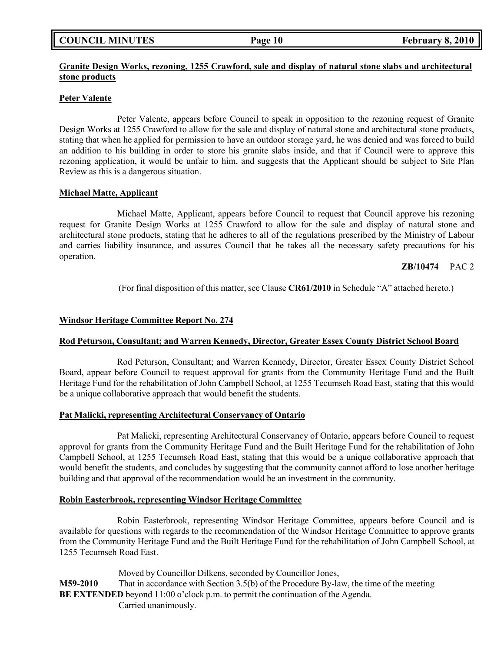| <b>COUNCIL MINUTES</b> |  |  |
|------------------------|--|--|
|------------------------|--|--|

## **Granite Design Works, rezoning, 1255 Crawford, sale and display of natural stone slabs and architectural stone products**

### **Peter Valente**

Peter Valente, appears before Council to speak in opposition to the rezoning request of Granite Design Works at 1255 Crawford to allow for the sale and display of natural stone and architectural stone products, stating that when he applied for permission to have an outdoor storage yard, he was denied and was forced to build an addition to his building in order to store his granite slabs inside, and that if Council were to approve this rezoning application, it would be unfair to him, and suggests that the Applicant should be subject to Site Plan Review as this is a dangerous situation.

### **Michael Matte, Applicant**

Michael Matte, Applicant, appears before Council to request that Council approve his rezoning request for Granite Design Works at 1255 Crawford to allow for the sale and display of natural stone and architectural stone products, stating that he adheres to all of the regulations prescribed by the Ministry of Labour and carries liability insurance, and assures Council that he takes all the necessary safety precautions for his operation.

## **ZB/10474** PAC 2

(For final disposition of this matter, see Clause **CR61/2010** in Schedule "A" attached hereto.)

## **Windsor Heritage Committee Report No. 274**

# **Rod Peturson, Consultant; and Warren Kennedy, Director, Greater Essex County District School Board**

Rod Peturson, Consultant; and Warren Kennedy, Director, Greater Essex County District School Board, appear before Council to request approval for grants from the Community Heritage Fund and the Built Heritage Fund for the rehabilitation of John Campbell School, at 1255 Tecumseh Road East, stating that this would be a unique collaborative approach that would benefit the students.

### **Pat Malicki, representing Architectural Conservancy of Ontario**

Pat Malicki, representing Architectural Conservancy of Ontario, appears before Council to request approval for grants from the Community Heritage Fund and the Built Heritage Fund for the rehabilitation of John Campbell School, at 1255 Tecumseh Road East, stating that this would be a unique collaborative approach that would benefit the students, and concludes by suggesting that the community cannot afford to lose another heritage building and that approval of the recommendation would be an investment in the community.

### **Robin Easterbrook, representing Windsor Heritage Committee**

Robin Easterbrook, representing Windsor Heritage Committee, appears before Council and is available for questions with regards to the recommendation of the Windsor Heritage Committee to approve grants from the Community Heritage Fund and the Built Heritage Fund for the rehabilitation of John Campbell School, at 1255 Tecumseh Road East.

Moved by Councillor Dilkens, seconded by Councillor Jones, **M59-2010** That in accordance with Section 3.5(b) of the Procedure By-law, the time of the meeting **BE EXTENDED** beyond 11:00 o'clock p.m. to permit the continuation of the Agenda. Carried unanimously.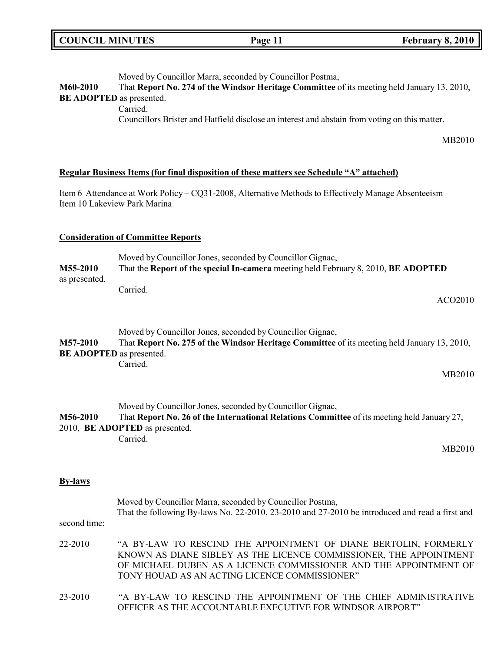| <b>COUNCIL MINUTES</b>                      |                                                   | Page 11                                                                                                                                                                                                                                                      | February 8, 2010 |
|---------------------------------------------|---------------------------------------------------|--------------------------------------------------------------------------------------------------------------------------------------------------------------------------------------------------------------------------------------------------------------|------------------|
| M60-2010<br><b>BE ADOPTED</b> as presented. | Carried.                                          | Moved by Councillor Marra, seconded by Councillor Postma,<br>That Report No. 274 of the Windsor Heritage Committee of its meeting held January 13, 2010,<br>Councillors Brister and Hatfield disclose an interest and abstain from voting on this matter.    | MB2010           |
|                                             |                                                   |                                                                                                                                                                                                                                                              |                  |
|                                             |                                                   | Regular Business Items (for final disposition of these matters see Schedule "A" attached)                                                                                                                                                                    |                  |
|                                             | Item 10 Lakeview Park Marina                      | Item 6 Attendance at Work Policy – CQ31-2008, Alternative Methods to Effectively Manage Absenteeism                                                                                                                                                          |                  |
|                                             | <b>Consideration of Committee Reports</b>         |                                                                                                                                                                                                                                                              |                  |
| M55-2010                                    |                                                   | Moved by Councillor Jones, seconded by Councillor Gignac,<br>That the Report of the special In-camera meeting held February 8, 2010, BE ADOPTED                                                                                                              |                  |
| as presented.                               | Carried.                                          |                                                                                                                                                                                                                                                              |                  |
|                                             |                                                   |                                                                                                                                                                                                                                                              | ACO2010          |
| M57-2010<br><b>BE ADOPTED</b> as presented. |                                                   | Moved by Councillor Jones, seconded by Councillor Gignac,<br>That Report No. 275 of the Windsor Heritage Committee of its meeting held January 13, 2010,                                                                                                     |                  |
|                                             | Carried.                                          |                                                                                                                                                                                                                                                              | MB2010           |
|                                             |                                                   |                                                                                                                                                                                                                                                              |                  |
| M56-2010                                    | 2010, <b>BE ADOPTED</b> as presented.<br>Carried. | Moved by Councillor Jones, seconded by Councillor Gignac,<br>That Report No. 26 of the International Relations Committee of its meeting held January 27,                                                                                                     |                  |
|                                             |                                                   |                                                                                                                                                                                                                                                              | MB2010           |
| <b>By-laws</b>                              |                                                   |                                                                                                                                                                                                                                                              |                  |
| second time:                                |                                                   | Moved by Councillor Marra, seconded by Councillor Postma,<br>That the following By-laws No. 22-2010, 23-2010 and 27-2010 be introduced and read a first and                                                                                                  |                  |
| 22-2010                                     |                                                   | "A BY-LAW TO RESCIND THE APPOINTMENT OF DIANE BERTOLIN, FORMERLY<br>KNOWN AS DIANE SIBLEY AS THE LICENCE COMMISSIONER, THE APPOINTMENT<br>OF MICHAEL DUBEN AS A LICENCE COMMISSIONER AND THE APPOINTMENT OF<br>TONY HOUAD AS AN ACTING LICENCE COMMISSIONER" |                  |

ור

23-2010 "A BY-LAW TO RESCIND THE APPOINTMENT OF THE CHIEF ADMINISTRATIVE OFFICER AS THE ACCOUNTABLE EXECUTIVE FOR WINDSOR AIRPORT"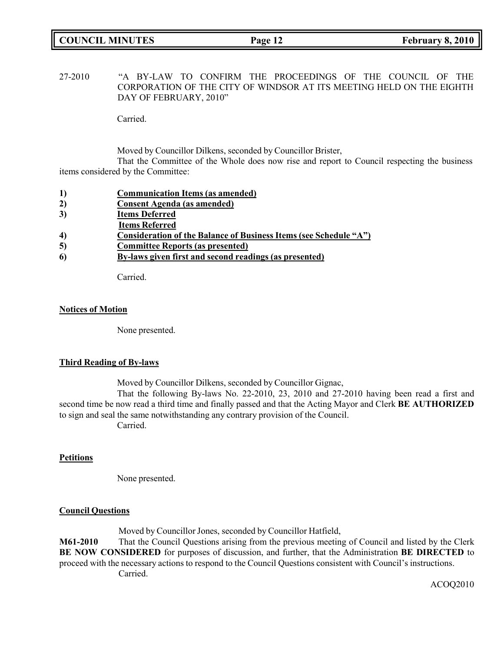# **COUNCIL MINUTES Page 12 February 8, 2010**

27-2010 "A BY-LAW TO CONFIRM THE PROCEEDINGS OF THE COUNCIL OF THE CORPORATION OF THE CITY OF WINDSOR AT ITS MEETING HELD ON THE EIGHTH DAY OF FEBRUARY, 2010"

Carried.

Moved by Councillor Dilkens, seconded by Councillor Brister, That the Committee of the Whole does now rise and report to Council respecting the business items considered by the Committee:

| <b>Communication Items (as amended)</b> |
|-----------------------------------------|
|-----------------------------------------|

- **2) Consent Agenda (as amended)**
- **3) Items Deferred**
- **Items Referred**
- **4) Consideration of the Balance of Business Items (see Schedule "A")**
- **5) Committee Reports (as presented)**
- **6) By-laws given first and second readings (as presented)**

Carried.

#### **Notices of Motion**

None presented.

### **Third Reading of By-laws**

Moved by Councillor Dilkens, seconded by Councillor Gignac,

That the following By-laws No. 22-2010, 23, 2010 and 27-2010 having been read a first and second time be now read a third time and finally passed and that the Acting Mayor and Clerk **BE AUTHORIZED** to sign and seal the same notwithstanding any contrary provision of the Council. Carried.

### **Petitions**

None presented.

### **Council Questions**

Moved by Councillor Jones, seconded by Councillor Hatfield,

**M61-2010** That the Council Questions arising from the previous meeting of Council and listed by the Clerk **BE NOW CONSIDERED** for purposes of discussion, and further, that the Administration **BE DIRECTED** to proceed with the necessary actions to respond to the Council Questions consistent with Council's instructions. Carried.

ACOQ2010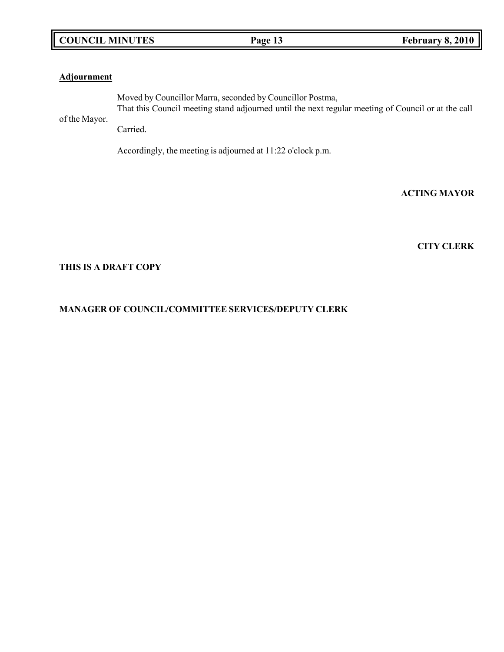# **COUNCIL MINUTES Page 13 February 8, 2010**

### **Adjournment**

of the Mayor. Moved by Councillor Marra, seconded by Councillor Postma, That this Council meeting stand adjourned until the next regular meeting of Council or at the call

Carried.

Accordingly, the meeting is adjourned at 11:22 o'clock p.m.

**ACTING MAYOR**

**CITY CLERK**

## **THIS IS A DRAFT COPY**

# **MANAGER OF COUNCIL/COMMITTEE SERVICES/DEPUTY CLERK**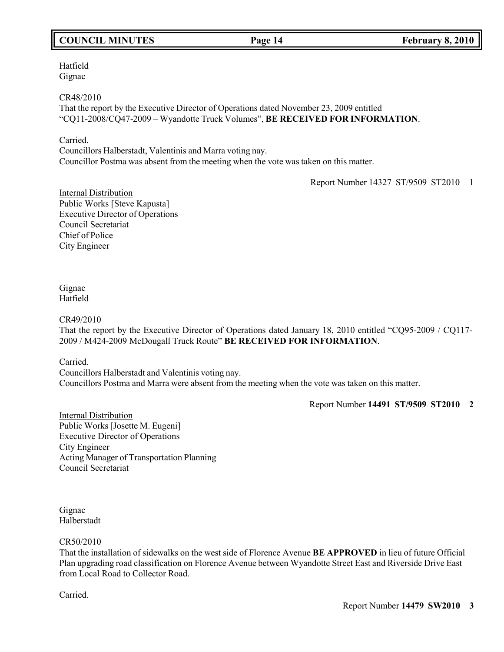# **COUNCIL MINUTES Page 14 February 8, 2010**

Hatfield Gignac

CR48/2010

That the report by the Executive Director of Operations dated November 23, 2009 entitled "CQ11-2008/CQ47-2009 – Wyandotte Truck Volumes", **BE RECEIVED FOR INFORMATION**.

Carried.

Councillors Halberstadt, Valentinis and Marra voting nay. Councillor Postma was absent from the meeting when the vote was taken on this matter.

Report Number 14327 ST/9509 ST2010 1

Internal Distribution Public Works [Steve Kapusta] Executive Director of Operations Council Secretariat Chief of Police City Engineer

#### Gignac Hatfield

CR49/2010

That the report by the Executive Director of Operations dated January 18, 2010 entitled "CQ95-2009 / CQ117- 2009 / M424-2009 McDougall Truck Route" **BE RECEIVED FOR INFORMATION**.

Carried.

Councillors Halberstadt and Valentinis voting nay. Councillors Postma and Marra were absent from the meeting when the vote was taken on this matter.

Report Number **14491 ST/9509 ST2010 2**

Internal Distribution Public Works [Josette M. Eugeni] Executive Director of Operations City Engineer Acting Manager of Transportation Planning Council Secretariat

Gignac Halberstadt

### CR50/2010

That the installation of sidewalks on the west side of Florence Avenue **BE APPROVED** in lieu of future Official Plan upgrading road classification on Florence Avenue between Wyandotte Street East and Riverside Drive East from Local Road to Collector Road.

Carried.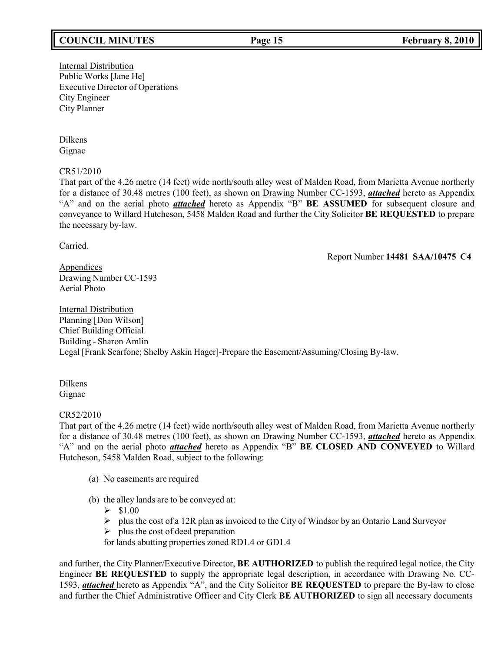# **COUNCIL MINUTES Page 15 February 8, 2010**

Internal Distribution Public Works [Jane He] Executive Director of Operations City Engineer City Planner

Dilkens Gignac

CR51/2010

That part of the 4.26 metre (14 feet) wide north/south alley west of Malden Road, from Marietta Avenue northerly for a distance of 30.48 metres (100 feet), as shown on Drawing Number CC-1593, *attached* hereto as Appendix "A" and on the aerial photo *attached* hereto as Appendix "B" **BE ASSUMED** for subsequent closure and conveyance to Willard Hutcheson, 5458 Malden Road and further the City Solicitor **BE REQUESTED** to prepare the necessary by-law.

Carried.

Report Number **14481 SAA/10475 C4**

**Appendices** Drawing Number CC-1593 Aerial Photo

Internal Distribution Planning [Don Wilson] Chief Building Official Building - Sharon Amlin Legal [Frank Scarfone; Shelby Askin Hager]-Prepare the Easement/Assuming/Closing By-law.

Dilkens Gignac

#### CR52/2010

That part of the 4.26 metre (14 feet) wide north/south alley west of Malden Road, from Marietta Avenue northerly for a distance of 30.48 metres (100 feet), as shown on Drawing Number CC-1593, *attached* hereto as Appendix "A" and on the aerial photo *attached* hereto as Appendix "B" **BE CLOSED AND CONVEYED** to Willard Hutcheson, 5458 Malden Road, subject to the following:

- (a) No easements are required
- (b) the alley lands are to be conveyed at:
	- $> $1.00$
	- $\triangleright$  plus the cost of a 12R plan as invoiced to the City of Windsor by an Ontario Land Surveyor
	- $\triangleright$  plus the cost of deed preparation
	- for lands abutting properties zoned RD1.4 or GD1.4

and further, the City Planner/Executive Director, **BE AUTHORIZED** to publish the required legal notice, the City Engineer **BE REQUESTED** to supply the appropriate legal description, in accordance with Drawing No. CC-1593, *attached* hereto as Appendix "A", and the City Solicitor **BE REQUESTED** to prepare the By-law to close and further the Chief Administrative Officer and City Clerk **BE AUTHORIZED** to sign all necessary documents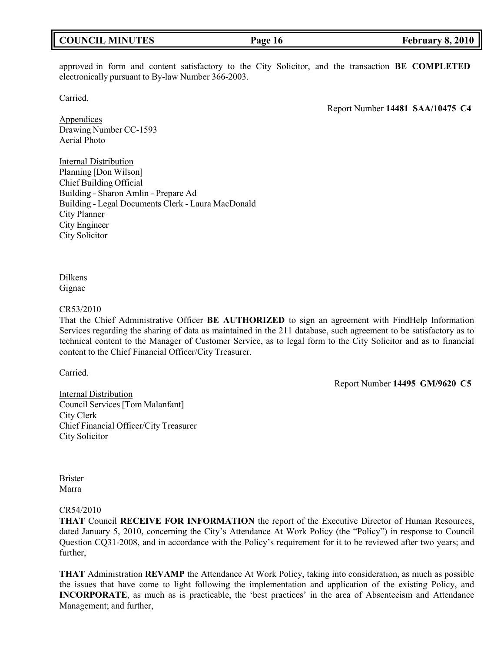## **COUNCIL MINUTES Page 16 February 8, 2010**

approved in form and content satisfactory to the City Solicitor, and the transaction **BE COMPLETED** electronically pursuant to By-law Number 366-2003.

Carried.

Report Number **14481 SAA/10475 C4**

**Appendices** Drawing Number CC-1593 Aerial Photo

Internal Distribution Planning [Don Wilson] Chief Building Official Building - Sharon Amlin - Prepare Ad Building - Legal Documents Clerk - Laura MacDonald City Planner City Engineer City Solicitor

Dilkens Gignac

#### CR53/2010

That the Chief Administrative Officer **BE AUTHORIZED** to sign an agreement with FindHelp Information Services regarding the sharing of data as maintained in the 211 database, such agreement to be satisfactory as to technical content to the Manager of Customer Service, as to legal form to the City Solicitor and as to financial content to the Chief Financial Officer/City Treasurer.

Carried.

Report Number **14495 GM/9620 C5**

Internal Distribution Council Services [Tom Malanfant] City Clerk Chief Financial Officer/City Treasurer City Solicitor

Brister Marra

#### CR54/2010

**THAT** Council **RECEIVE FOR INFORMATION** the report of the Executive Director of Human Resources, dated January 5, 2010, concerning the City's Attendance At Work Policy (the "Policy") in response to Council Question CQ31-2008, and in accordance with the Policy's requirement for it to be reviewed after two years; and further,

**THAT** Administration **REVAMP** the Attendance At Work Policy, taking into consideration, as much as possible the issues that have come to light following the implementation and application of the existing Policy, and **INCORPORATE**, as much as is practicable, the 'best practices' in the area of Absenteeism and Attendance Management; and further,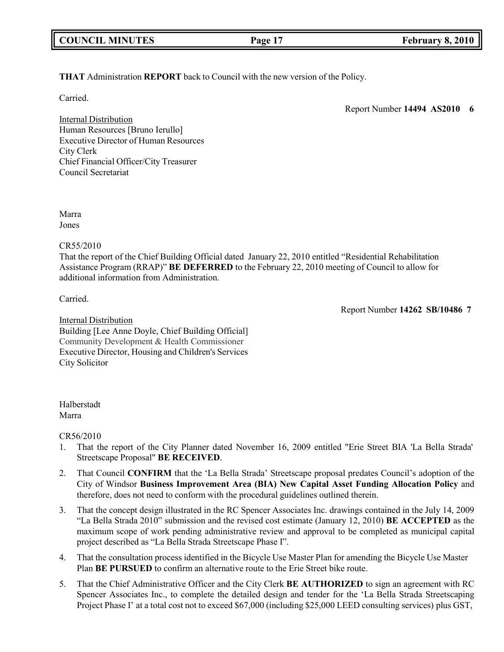**THAT** Administration **REPORT** back to Council with the new version of the Policy.

Carried.

Report Number **14494 AS2010 6**

Internal Distribution Human Resources [Bruno Ierullo] Executive Director of Human Resources City Clerk Chief Financial Officer/City Treasurer Council Secretariat

Marra Jones

CR55/2010

That the report of the Chief Building Official dated January 22, 2010 entitled "Residential Rehabilitation Assistance Program (RRAP)" **BE DEFERRED** to the February 22, 2010 meeting of Council to allow for additional information from Administration.

Carried.

Report Number **14262 SB/10486 7**

Internal Distribution Building [Lee Anne Doyle, Chief Building Official] Community Development & Health Commissioner Executive Director, Housing and Children's Services City Solicitor

# Halberstadt

Marra

# CR56/2010

- 1. That the report of the City Planner dated November 16, 2009 entitled "Erie Street BIA 'La Bella Strada' Streetscape Proposal" **BE RECEIVED**.
- 2. That Council **CONFIRM** that the 'La Bella Strada' Streetscape proposal predates Council's adoption of the City of Windsor **Business Improvement Area (BIA) New Capital Asset Funding Allocation Policy** and therefore, does not need to conform with the procedural guidelines outlined therein.
- 3. That the concept design illustrated in the RC Spencer Associates Inc. drawings contained in the July 14, 2009 "La Bella Strada 2010" submission and the revised cost estimate (January 12, 2010) **BE ACCEPTED** as the maximum scope of work pending administrative review and approval to be completed as municipal capital project described as "La Bella Strada Streetscape Phase I".
- 4. That the consultation process identified in the Bicycle Use Master Plan for amending the Bicycle Use Master Plan **BE PURSUED** to confirm an alternative route to the Erie Street bike route.
- 5. That the Chief Administrative Officer and the City Clerk **BE AUTHORIZED** to sign an agreement with RC Spencer Associates Inc., to complete the detailed design and tender for the 'La Bella Strada Streetscaping Project Phase I' at a total cost not to exceed \$67,000 (including \$25,000 LEED consulting services) plus GST,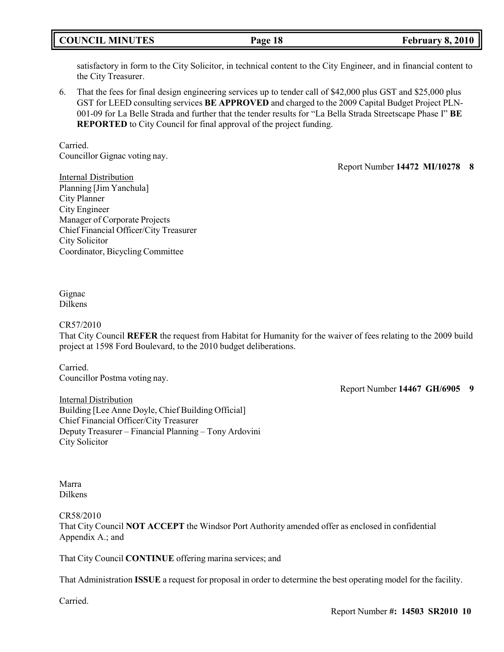# **COUNCIL MINUTES Page 18 February 8, 2010**

satisfactory in form to the City Solicitor, in technical content to the City Engineer, and in financial content to the City Treasurer.

6. That the fees for final design engineering services up to tender call of \$42,000 plus GST and \$25,000 plus GST for LEED consulting services **BE APPROVED** and charged to the 2009 Capital Budget Project PLN-001-09 for La Belle Strada and further that the tender results for "La Bella Strada Streetscape Phase I" **BE REPORTED** to City Council for final approval of the project funding.

Carried. Councillor Gignac voting nay.

Report Number **14472 MI/10278 8**

Internal Distribution Planning [Jim Yanchula] City Planner City Engineer Manager of Corporate Projects Chief Financial Officer/City Treasurer City Solicitor Coordinator, Bicycling Committee

Gignac Dilkens

#### CR57/2010

That City Council **REFER** the request from Habitat for Humanity for the waiver of fees relating to the 2009 build project at 1598 Ford Boulevard, to the 2010 budget deliberations.

Carried. Councillor Postma voting nay.

Report Number **14467 GH/6905 9**

Internal Distribution Building [Lee Anne Doyle, Chief Building Official] Chief Financial Officer/City Treasurer Deputy Treasurer – Financial Planning – Tony Ardovini City Solicitor

Marra Dilkens

CR58/2010

That City Council **NOT ACCEPT** the Windsor Port Authority amended offer as enclosed in confidential Appendix A.; and

That City Council **CONTINUE** offering marina services; and

That Administration **ISSUE** a request for proposal in order to determine the best operating model for the facility.

Carried.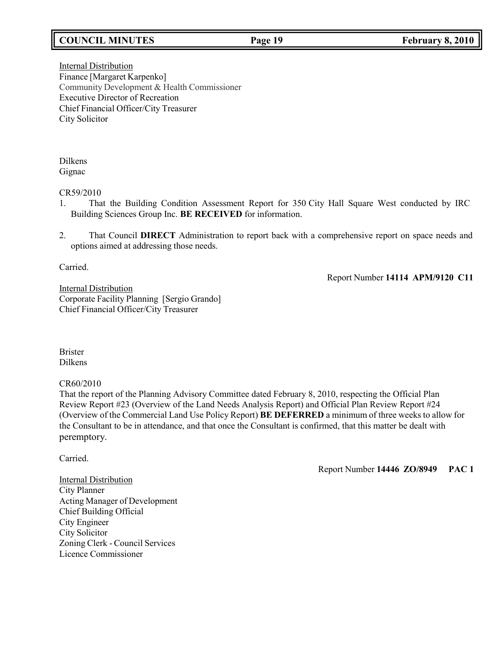# **COUNCIL MINUTES Page 19 February 8, 2010**

**Internal Distribution** Finance [Margaret Karpenko] Community Development & Health Commissioner Executive Director of Recreation Chief Financial Officer/City Treasurer City Solicitor

Dilkens Gignac

#### CR59/2010

- 1. That the Building Condition Assessment Report for 350 City Hall Square West conducted by IRC Building Sciences Group Inc. **BE RECEIVED** for information.
- 2. That Council **DIRECT** Administration to report back with a comprehensive report on space needs and options aimed at addressing those needs.

Carried.

Report Number **14114 APM/9120 C11**

Internal Distribution Corporate Facility Planning [Sergio Grando] Chief Financial Officer/City Treasurer

Brister Dilkens

CR60/2010

That the report of the Planning Advisory Committee dated February 8, 2010, respecting the Official Plan Review Report #23 (Overview of the Land Needs Analysis Report) and Official Plan Review Report #24 (Overview of the Commercial Land Use Policy Report) **BE DEFERRED** a minimum of three weeks to allow for the Consultant to be in attendance, and that once the Consultant is confirmed, that this matter be dealt with peremptory.

Carried.

Report Number **14446 ZO/8949 PAC 1**

Internal Distribution City Planner Acting Manager of Development Chief Building Official City Engineer City Solicitor Zoning Clerk - Council Services Licence Commissioner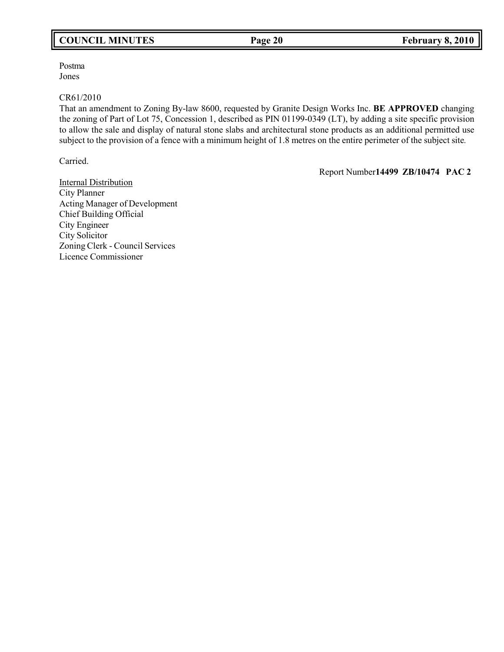# **COUNCIL MINUTES Page 20 February 8, 2010**

Postma Jones

#### CR61/2010

That an amendment to Zoning By-law 8600, requested by Granite Design Works Inc. **BE APPROVED** changing the zoning of Part of Lot 75, Concession 1, described as PIN 01199-0349 (LT), by adding a site specific provision to allow the sale and display of natural stone slabs and architectural stone products as an additional permitted use subject to the provision of a fence with a minimum height of 1.8 metres on the entire perimeter of the subject site*.*

Carried.

Report Number**14499 ZB/10474 PAC 2**

Internal Distribution City Planner Acting Manager of Development Chief Building Official City Engineer City Solicitor Zoning Clerk - Council Services Licence Commissioner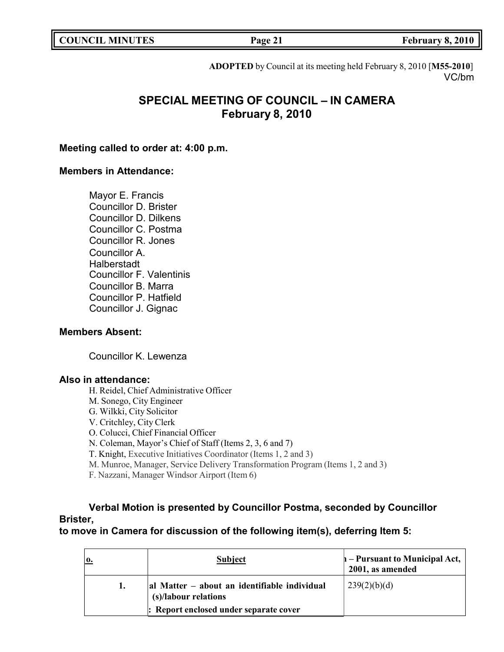|  | <b>COUNCIL MINUTES</b> |
|--|------------------------|
|--|------------------------|

**COUNCIL EXECUTE: Page 21 February 8, 2010** 

**ADOPTED** by Council at its meeting held February 8, 2010 [**M55-2010**] VC/bm

# **SPECIAL MEETING OF COUNCIL – IN CAMERA February 8, 2010**

## **Meeting called to order at: 4:00 p.m.**

## **Members in Attendance:**

Mayor E. Francis Councillor D. Brister Councillor D. Dilkens Councillor C. Postma Councillor R. Jones Councillor A. **Halberstadt** Councillor F. Valentinis Councillor B. Marra Councillor P. Hatfield Councillor J. Gignac

# **Members Absent:**

Councillor K. Lewenza

# **Also in attendance:**

- H. Reidel, Chief Administrative Officer
- M. Sonego, City Engineer
- G. Wilkki, City Solicitor
- V. Critchley, City Clerk
- O. Colucci, Chief Financial Officer
- N. Coleman, Mayor's Chief of Staff (Items 2, 3, 6 and 7)
- T. Knight, Executive Initiatives Coordinator (Items 1, 2 and 3)
- M. Munroe, Manager, Service Delivery Transformation Program (Items 1, 2 and 3)
- F. Nazzani, Manager Windsor Airport (Item 6)

# **Verbal Motion is presented by Councillor Postma, seconded by Councillor Brister,**

**to move in Camera for discussion of the following item(s), deferring Item 5:**

| <b>Subject</b>                                                       | $\vert$ – Pursuant to Municipal Act, $\vert$<br>2001, as amended |
|----------------------------------------------------------------------|------------------------------------------------------------------|
| al Matter – about an identifiable individual<br>(s)/labour relations | 239(2)(b)(d)                                                     |
| : Report enclosed under separate cover                               |                                                                  |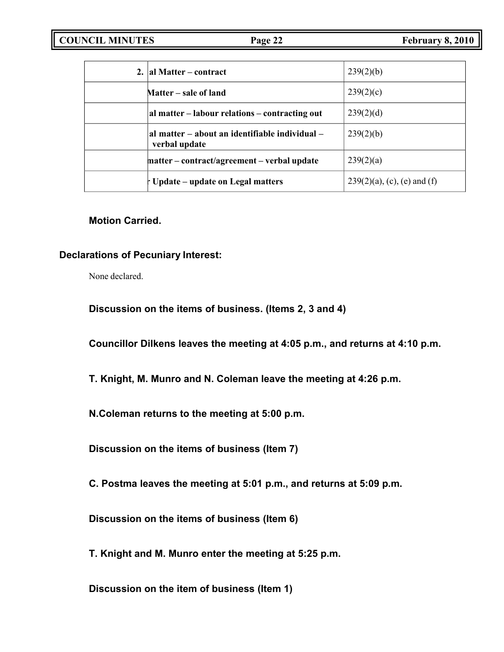| 2. al Matter – contract                                         | 239(2)(b)                      |
|-----------------------------------------------------------------|--------------------------------|
| Matter – sale of land                                           | 239(2)(c)                      |
| al matter – labour relations – contracting out                  | 239(2)(d)                      |
| al matter – about an identifiable individual –<br>verbal update | 239(2)(b)                      |
| matter – contract/agreement – verbal update                     | 239(2)(a)                      |
| t Update – update on Legal matters                              | $239(2)(a)$ , (c), (e) and (f) |

# **Motion Carried.**

# **Declarations of Pecuniary Interest:**

None declared.

**Discussion on the items of business. (Items 2, 3 and 4)**

**Councillor Dilkens leaves the meeting at 4:05 p.m., and returns at 4:10 p.m.**

**T. Knight, M. Munro and N. Coleman leave the meeting at 4:26 p.m.**

**N.Coleman returns to the meeting at 5:00 p.m.**

**Discussion on the items of business (Item 7)**

**C. Postma leaves the meeting at 5:01 p.m., and returns at 5:09 p.m.**

**Discussion on the items of business (Item 6)**

**T. Knight and M. Munro enter the meeting at 5:25 p.m.**

**Discussion on the item of business (Item 1)**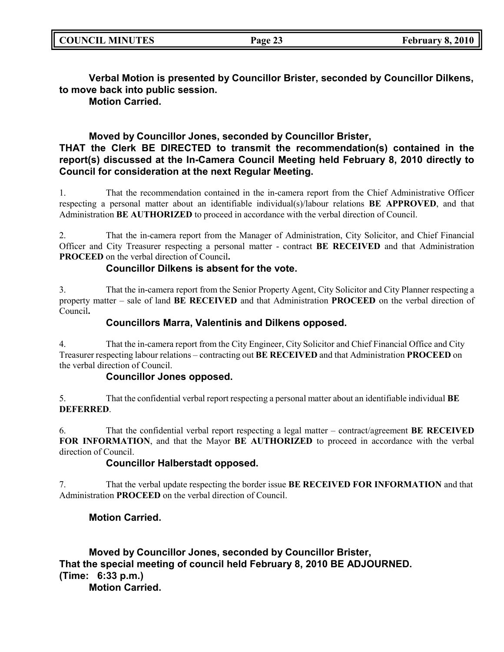**Verbal Motion is presented by Councillor Brister, seconded by Councillor Dilkens, to move back into public session.**

**Motion Carried.**

# **Moved by Councillor Jones, seconded by Councillor Brister,**

# **THAT the Clerk BE DIRECTED to transmit the recommendation(s) contained in the report(s) discussed at the In-Camera Council Meeting held February 8, 2010 directly to Council for consideration at the next Regular Meeting.**

1. That the recommendation contained in the in-camera report from the Chief Administrative Officer respecting a personal matter about an identifiable individual(s)/labour relations **BE APPROVED**, and that Administration **BE AUTHORIZED** to proceed in accordance with the verbal direction of Council.

2. That the in-camera report from the Manager of Administration, City Solicitor, and Chief Financial Officer and City Treasurer respecting a personal matter - contract **BE RECEIVED** and that Administration **PROCEED** on the verbal direction of Council**.**

# **Councillor Dilkens is absent for the vote.**

3. That the in-camera report from the Senior Property Agent, City Solicitor and City Planner respecting a property matter – sale of land **BE RECEIVED** and that Administration **PROCEED** on the verbal direction of Council**.**

# **Councillors Marra, Valentinis and Dilkens opposed.**

4. That the in-camera report from the City Engineer, City Solicitor and Chief Financial Office and City Treasurer respecting labour relations – contracting out **BE RECEIVED** and that Administration **PROCEED** on the verbal direction of Council.

# **Councillor Jones opposed.**

5. That the confidential verbal report respecting a personal matter about an identifiable individual **BE DEFERRED**.

6. That the confidential verbal report respecting a legal matter – contract/agreement **BE RECEIVED FOR INFORMATION**, and that the Mayor **BE AUTHORIZED** to proceed in accordance with the verbal direction of Council.

# **Councillor Halberstadt opposed.**

7. That the verbal update respecting the border issue **BE RECEIVED FOR INFORMATION** and that Administration **PROCEED** on the verbal direction of Council.

# **Motion Carried.**

**Moved by Councillor Jones, seconded by Councillor Brister, That the special meeting of council held February 8, 2010 BE ADJOURNED. (Time: 6:33 p.m.) Motion Carried.**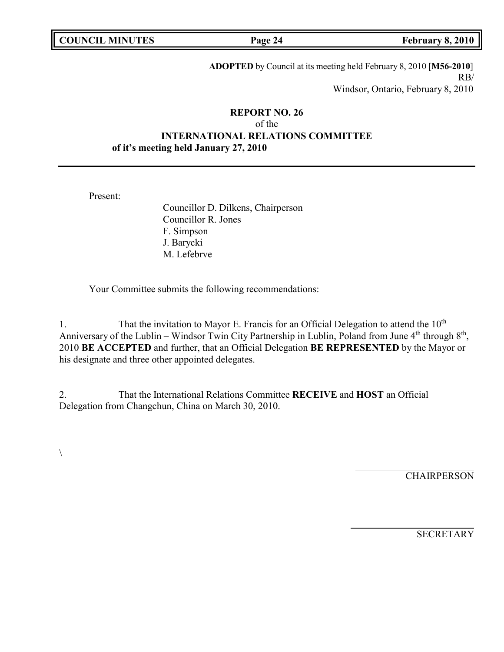| <b>COUNCIL MINUTES</b> |  |
|------------------------|--|
|------------------------|--|

**COUNCIL EXECUTE: Page 24 February 8, 2010** 

**ADOPTED** by Council at its meeting held February 8, 2010 [**M56-2010**] RB/ Windsor, Ontario, February 8, 2010

# **REPORT NO. 26** of the **INTERNATIONAL RELATIONS COMMITTEE of it's meeting held January 27, 2010**

Present:

Councillor D. Dilkens, Chairperson Councillor R. Jones F. Simpson J. Barycki M. Lefebrve

Your Committee submits the following recommendations:

1. That the invitation to Mayor E. Francis for an Official Delegation to attend the  $10<sup>th</sup>$ Anniversary of the Lublin – Windsor Twin City Partnership in Lublin, Poland from June 4<sup>th</sup> through 8<sup>th</sup>, 2010 **BE ACCEPTED** and further, that an Official Delegation **BE REPRESENTED** by the Mayor or his designate and three other appointed delegates.

2. That the International Relations Committee **RECEIVE** and **HOST** an Official Delegation from Changchun, China on March 30, 2010.

 $\setminus$ 

**CHAIRPERSON** 

**SECRETARY**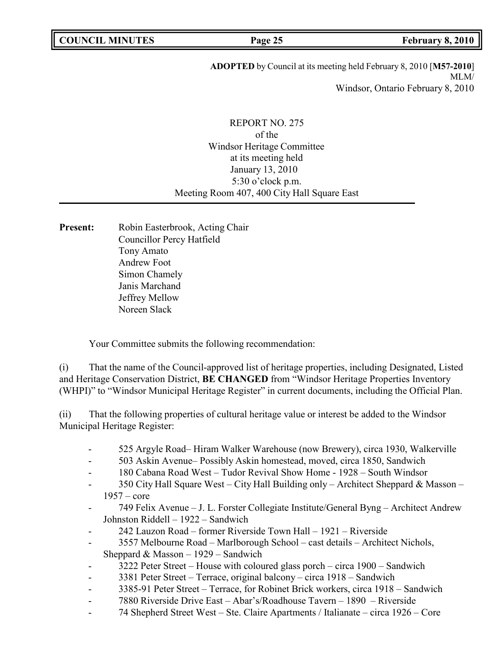**ADOPTED** by Council at its meeting held February 8, 2010 [**M57-2010**] MLM/ Windsor, Ontario February 8, 2010

# REPORT NO. 275 of the Windsor Heritage Committee at its meeting held January 13, 2010 5:30 o'clock p.m. Meeting Room 407, 400 City Hall Square East

**Present:** Robin Easterbrook, Acting Chair Councillor Percy Hatfield Tony Amato Andrew Foot Simon Chamely Janis Marchand Jeffrey Mellow Noreen Slack

Your Committee submits the following recommendation:

(i) That the name of the Council-approved list of heritage properties, including Designated, Listed and Heritage Conservation District, **BE CHANGED** from "Windsor Heritage Properties Inventory (WHPI)" to "Windsor Municipal Heritage Register" in current documents, including the Official Plan.

(ii) That the following properties of cultural heritage value or interest be added to the Windsor Municipal Heritage Register:

- 525 Argyle Road– Hiram Walker Warehouse (now Brewery), circa 1930, Walkerville
- 503 Askin Avenue– Possibly Askin homestead, moved, circa 1850, Sandwich
- 180 Cabana Road West Tudor Revival Show Home 1928 South Windsor
- 350 City Hall Square West City Hall Building only Architect Sheppard & Masson 1957 – core
- 749 Felix Avenue J. L. Forster Collegiate Institute/General Byng Architect Andrew Johnston Riddell – 1922 – Sandwich
- 242 Lauzon Road former Riverside Town Hall 1921 Riverside
- 3557 Melbourne Road Marlborough School cast details Architect Nichols, Sheppard & Masson – 1929 – Sandwich
- 3222 Peter Street House with coloured glass porch circa 1900 Sandwich
- 3381 Peter Street Terrace, original balcony circa 1918 Sandwich
- 3385-91 Peter Street Terrace, for Robinet Brick workers, circa 1918 Sandwich
- 7880 Riverside Drive East Abar's/Roadhouse Tavern 1890 Riverside
- 74 Shepherd Street West Ste. Claire Apartments / Italianate circa 1926 Core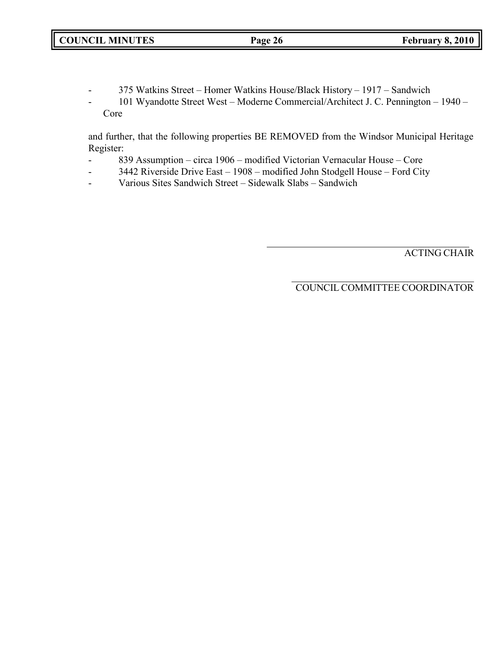- 375 Watkins Street Homer Watkins House/Black History 1917 Sandwich
- 101 Wyandotte Street West Moderne Commercial/Architect J. C. Pennington 1940 Core

and further, that the following properties BE REMOVED from the Windsor Municipal Heritage Register:

- 839 Assumption circa 1906 modified Victorian Vernacular House Core
- 3442 Riverside Drive East 1908 modified John Stodgell House Ford City
- Various Sites Sandwich Street Sidewalk Slabs Sandwich

ACTING CHAIR

COUNCIL COMMITTEE COORDINATOR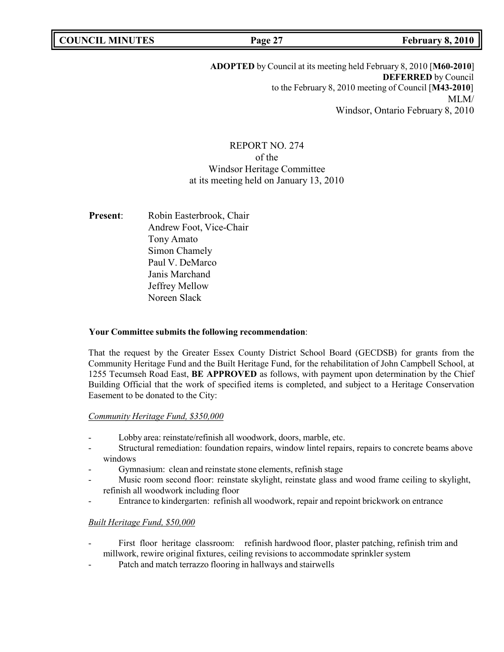# **ADOPTED** by Council at its meeting held February 8, 2010 [**M60-2010**] **DEFERRED** by Council to the February 8, 2010 meeting of Council [**M43-2010**] MLM/ Windsor, Ontario February 8, 2010

# REPORT NO. 274 of the Windsor Heritage Committee at its meeting held on January 13, 2010

**Present:** Robin Easterbrook, Chair Andrew Foot, Vice-Chair Tony Amato Simon Chamely Paul V. DeMarco Janis Marchand Jeffrey Mellow Noreen Slack

# **Your Committee submits the following recommendation**:

That the request by the Greater Essex County District School Board (GECDSB) for grants from the Community Heritage Fund and the Built Heritage Fund, for the rehabilitation of John Campbell School, at 1255 Tecumseh Road East, **BE APPROVED** as follows, with payment upon determination by the Chief Building Official that the work of specified items is completed, and subject to a Heritage Conservation Easement to be donated to the City:

# *Community Heritage Fund, \$350,000*

- Lobby area: reinstate/refinish all woodwork, doors, marble, etc.
- Structural remediation: foundation repairs, window lintel repairs, repairs to concrete beams above windows
- Gymnasium: clean and reinstate stone elements, refinish stage
- Music room second floor: reinstate skylight, reinstate glass and wood frame ceiling to skylight, refinish all woodwork including floor
- Entrance to kindergarten: refinish all woodwork, repair and repoint brickwork on entrance

### *Built Heritage Fund, \$50,000*

- First floor heritage classroom: refinish hardwood floor, plaster patching, refinish trim and millwork, rewire original fixtures, ceiling revisions to accommodate sprinkler system
- Patch and match terrazzo flooring in hallways and stairwells